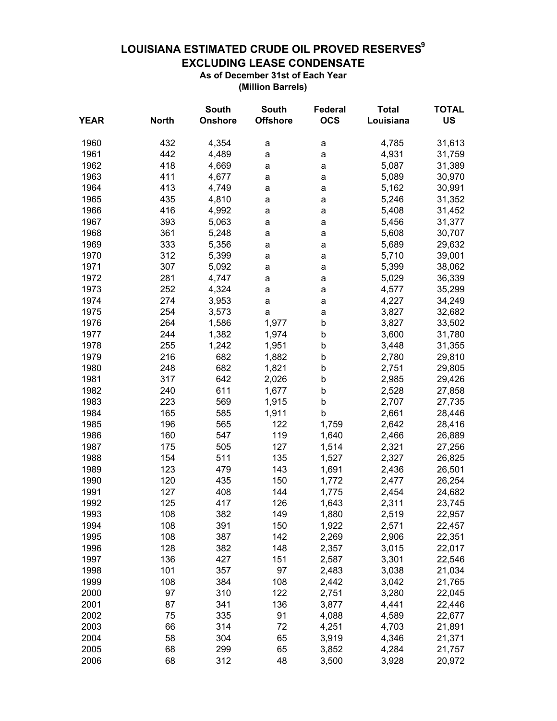## LOUISIANA ESTIMATED CRUDE OIL PROVED RESERVES<sup>9</sup> **EXCLUDING LEASE CONDENSATE** As of December 31st of Each Year

(Million Barrels)

|             |              | <b>South</b>   | <b>South</b>    | Federal    | <b>Total</b> | <b>TOTAL</b> |
|-------------|--------------|----------------|-----------------|------------|--------------|--------------|
| <b>YEAR</b> | <b>North</b> | <b>Onshore</b> | <b>Offshore</b> | <b>OCS</b> | Louisiana    | <b>US</b>    |
| 1960        | 432          | 4,354          | а               | a          | 4,785        | 31,613       |
| 1961        | 442          | 4,489          | a               | a          | 4,931        | 31,759       |
| 1962        | 418          | 4,669          | a               | a          | 5,087        | 31,389       |
| 1963        | 411          | 4,677          | a               | a          | 5,089        | 30,970       |
| 1964        | 413          | 4,749          | a               | a          | 5,162        | 30,991       |
| 1965        | 435          | 4,810          | a               | a          | 5,246        | 31,352       |
| 1966        | 416          | 4,992          | a               | a          | 5,408        | 31,452       |
| 1967        | 393          | 5,063          | a               | a          | 5,456        | 31,377       |
| 1968        | 361          | 5,248          | a               | a          | 5,608        | 30,707       |
| 1969        | 333          | 5,356          | a               | a          | 5,689        | 29,632       |
| 1970        | 312          | 5,399          | a               | a          | 5,710        | 39,001       |
| 1971        | 307          | 5,092          | a               | a          | 5,399        | 38,062       |
| 1972        | 281          | 4,747          | a               | a          | 5,029        | 36,339       |
| 1973        | 252          | 4,324          | a               | a          | 4,577        | 35,299       |
| 1974        | 274          | 3,953          | a               | a          | 4,227        | 34,249       |
| 1975        | 254          | 3,573          | a               | a          | 3,827        | 32,682       |
| 1976        | 264          | 1,586          | 1,977           | b          | 3,827        | 33,502       |
| 1977        | 244          | 1,382          | 1,974           | b          | 3,600        | 31,780       |
| 1978        | 255          | 1,242          | 1,951           | b          | 3,448        | 31,355       |
| 1979        | 216          | 682            | 1,882           | b          | 2,780        | 29,810       |
| 1980        | 248          | 682            | 1,821           | b          | 2,751        | 29,805       |
| 1981        | 317          | 642            | 2,026           | b          | 2,985        | 29,426       |
| 1982        | 240          | 611            | 1,677           | b          | 2,528        | 27,858       |
| 1983        | 223          | 569            | 1,915           | b          | 2,707        | 27,735       |
| 1984        | 165          | 585            | 1,911           | b          | 2,661        | 28,446       |
| 1985        | 196          | 565            | 122             | 1,759      | 2,642        | 28,416       |
| 1986        | 160          | 547            | 119             | 1,640      | 2,466        | 26,889       |
| 1987        | 175          | 505            | 127             | 1,514      | 2,321        | 27,256       |
| 1988        | 154          | 511            | 135             | 1,527      | 2,327        | 26,825       |
| 1989        | 123          | 479            | 143             | 1,691      | 2,436        | 26,501       |
| 1990        | 120          | 435            | 150             | 1,772      | 2,477        | 26,254       |
| 1991        | 127          | 408            | 144             | 1,775      | 2,454        | 24,682       |
| 1992        | 125          | 417            | 126             | 1,643      | 2,311        | 23,745       |
| 1993        | 108          | 382            | 149             | 1,880      | 2,519        | 22,957       |
| 1994        | 108          | 391            | 150             | 1,922      | 2,571        | 22,457       |
| 1995        | 108          | 387            | 142             | 2,269      | 2,906        | 22,351       |
| 1996        | 128          | 382            | 148             | 2,357      | 3,015        | 22,017       |
| 1997        | 136          | 427            | 151             | 2,587      | 3,301        | 22,546       |
| 1998        | 101          | 357            | 97              | 2,483      | 3,038        | 21,034       |
| 1999        | 108          | 384            | 108             | 2,442      | 3,042        | 21,765       |
| 2000        | 97           | 310            | 122             | 2,751      | 3,280        | 22,045       |
| 2001        | 87           | 341            | 136             | 3,877      | 4,441        | 22,446       |
| 2002        | 75           | 335            | 91              | 4,088      | 4,589        | 22,677       |
| 2003        | 66           | 314            | 72              | 4,251      | 4,703        | 21,891       |
| 2004        | 58           | 304            | 65              | 3,919      | 4,346        | 21,371       |
| 2005        | 68           | 299            | 65              | 3,852      | 4,284        | 21,757       |
| 2006        | 68           | 312            | 48              | 3,500      | 3,928        | 20,972       |